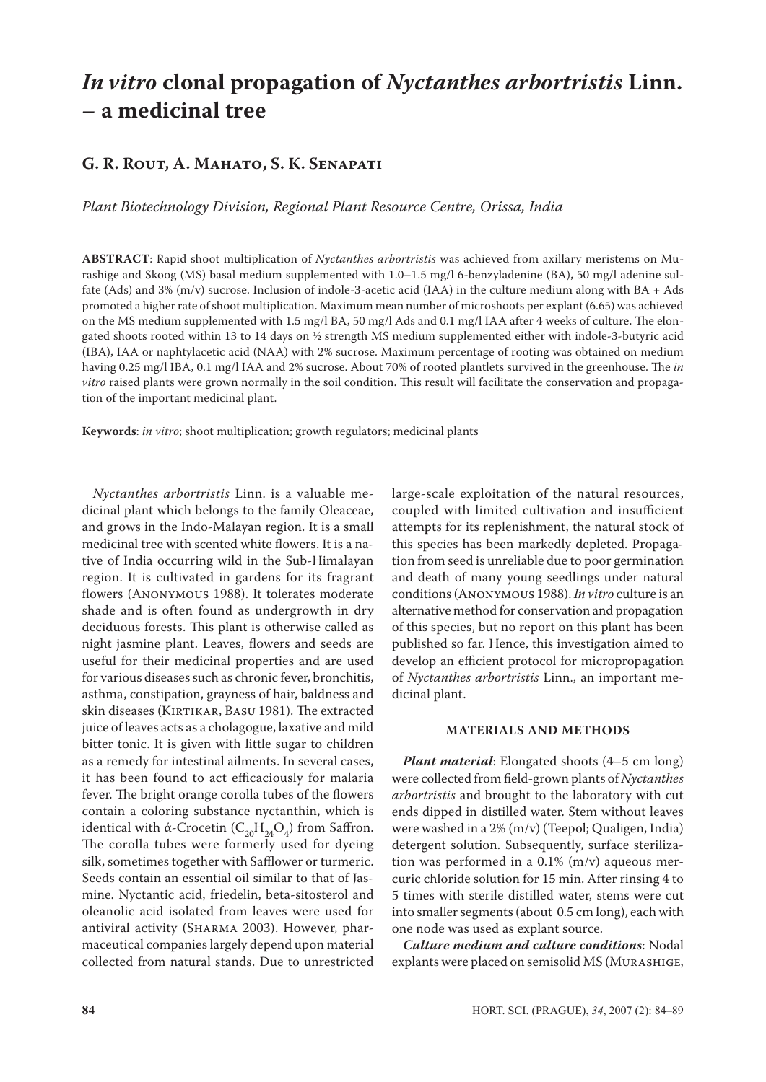## *In vitro* **clonal propagation of** *Nyctanthes arbortristis* **Linn. – a medicinal tree**

### **G. R. Rout, A. Mahato, S. K. Senapati**

*Plant Biotechnology Division, Regional Plant Resource Centre, Orissa, India*

**ABSTRACT**: Rapid shoot multiplication of *Nyctanthes arbortristis* was achieved from axillary meristems on Murashige and Skoog (MS) basal medium supplemented with 1.0–1.5 mg/l 6-benzyladenine (BA), 50 mg/l adenine sulfate (Ads) and 3% (m/v) sucrose. Inclusion of indole-3-acetic acid (IAA) in the culture medium along with BA + Ads promoted a higher rate of shoot multiplication. Maximum mean number of microshoots per explant (6.65) was achieved on the MS medium supplemented with 1.5 mg/l BA, 50 mg/l Ads and 0.1 mg/l IAA after 4 weeks of culture. The elongated shoots rooted within 13 to 14 days on ½ strength MS medium supplemented either with indole-3-butyric acid (IBA), IAA or naphtylacetic acid (NAA) with 2% sucrose. Maximum percentage of rooting was obtained on medium having 0.25 mg/l IBA, 0.1 mg/l IAA and 2% sucrose. About 70% of rooted plantlets survived in the greenhouse. The *in vitro* raised plants were grown normally in the soil condition. This result will facilitate the conservation and propagation of the important medicinal plant.

**Keywords**: *in vitro*; shoot multiplication; growth regulators; medicinal plants

*Nyctanthes arbortristis* Linn. is a valuable medicinal plant which belongs to the family Oleaceae, and grows in the Indo-Malayan region. It is a small medicinal tree with scented white flowers. It is a native of India occurring wild in the Sub-Himalayan region. It is cultivated in gardens for its fragrant flowers (Anonymous 1988). It tolerates moderate shade and is often found as undergrowth in dry deciduous forests. This plant is otherwise called as night jasmine plant. Leaves, flowers and seeds are useful for their medicinal properties and are used for various diseases such as chronic fever, bronchitis, asthma, constipation, grayness of hair, baldness and skin diseases (KIRTIKAR, BASU 1981). The extracted juice of leaves acts as a cholagogue, laxative and mild bitter tonic. It is given with little sugar to children as a remedy for intestinal ailments. In several cases, it has been found to act efficaciously for malaria fever. The bright orange corolla tubes of the flowers contain a coloring substance nyctanthin, which is identical with ά-Crocetin  $(C_{20}H_{24}O_4)$  from Saffron. The corolla tubes were formerly used for dyeing silk, sometimes together with Safflower or turmeric. Seeds contain an essential oil similar to that of Jasmine. Nyctantic acid, friedelin, beta-sitosterol and oleanolic acid isolated from leaves were used for antiviral activity (Sharma 2003). However, pharmaceutical companies largely depend upon material collected from natural stands. Due to unrestricted

large-scale exploitation of the natural resources, coupled with limited cultivation and insufficient attempts for its replenishment, the natural stock of this species has been markedly depleted. Propagation from seed is unreliable due to poor germination and death of many young seedlings under natural conditions (Anonymous 1988). *In vitro* culture is an alternative method for conservation and propagation of this species, but no report on this plant has been published so far. Hence, this investigation aimed to develop an efficient protocol for micropropagation of *Nyctanthes arbortristis* Linn., an important medicinal plant.

#### **MATERIALS AND METHODS**

*Plant material*: Elongated shoots (4–5 cm long) were collected from field-grown plants of *Nyctanthes arbortristis* and brought to the laboratory with cut ends dipped in distilled water. Stem without leaves were washed in a 2% (m/v) (Teepol; Qualigen, India) detergent solution. Subsequently, surface sterilization was performed in a 0.1% (m/v) aqueous mercuric chloride solution for 15 min. After rinsing 4 to 5 times with sterile distilled water, stems were cut into smaller segments (about 0.5 cm long), each with one node was used as explant source.

*Culture medium and culture conditions*: Nodal explants were placed on semisolid MS (Murashige,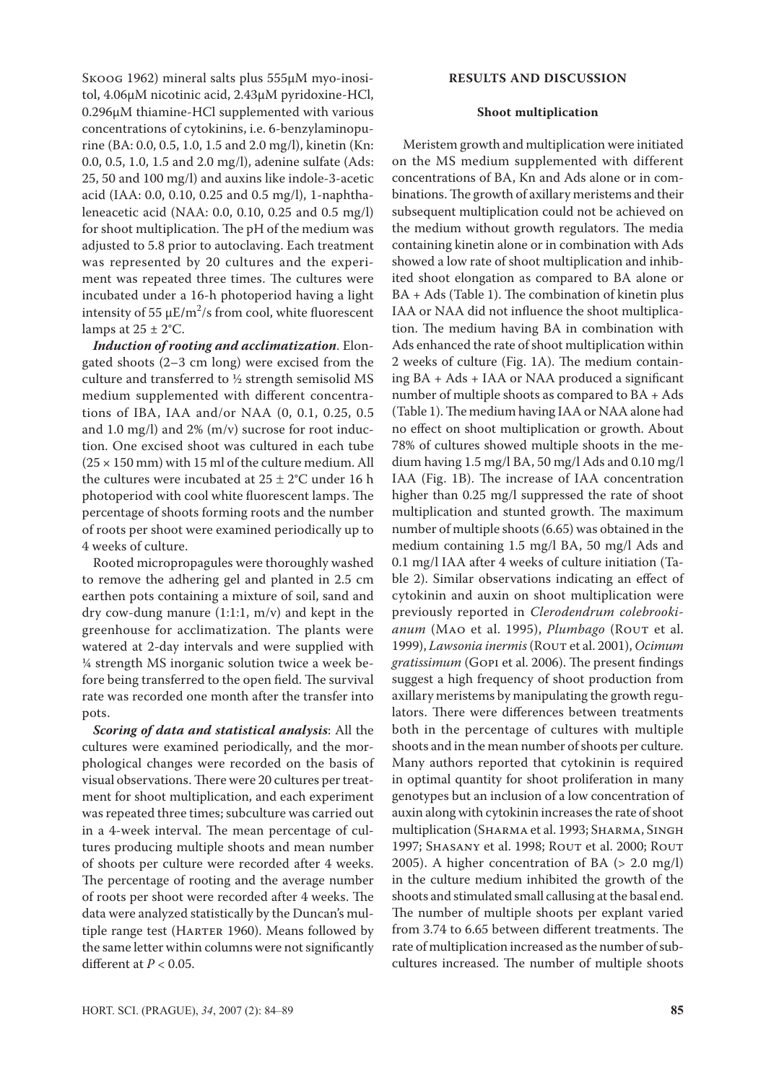Skoog 1962) mineral salts plus 555µM myo-inositol, 4.06µM nicotinic acid, 2.43µM pyridoxine-HCl, 0.296µM thiamine-HCl supplemented with various concentrations of cytokinins, i.e. 6-benzylaminopurine (BA: 0.0, 0.5, 1.0, 1.5 and 2.0 mg/l), kinetin (Kn: 0.0, 0.5, 1.0, 1.5 and 2.0 mg/l), adenine sulfate (Ads: 25, 50 and 100 mg/l) and auxins like indole-3-acetic acid (IAA: 0.0, 0.10, 0.25 and 0.5 mg/l), 1-naphthaleneacetic acid (NAA: 0.0, 0.10, 0.25 and 0.5 mg/l) for shoot multiplication. The pH of the medium was adjusted to 5.8 prior to autoclaving. Each treatment was represented by 20 cultures and the experiment was repeated three times. The cultures were incubated under a 16-h photoperiod having a light intensity of 55  $\mu$ E/m<sup>2</sup>/s from cool, white fluorescent lamps at  $25 \pm 2$ °C.

*Induction of rooting and acclimatization*. Elongated shoots (2–3 cm long) were excised from the culture and transferred to ½ strength semisolid MS medium supplemented with different concentrations of IBA, IAA and/or NAA (0, 0.1, 0.25, 0.5 and 1.0 mg/l) and 2% (m/v) sucrose for root induction. One excised shoot was cultured in each tube  $(25 \times 150 \text{ mm})$  with 15 ml of the culture medium. All the cultures were incubated at  $25 \pm 2$ °C under 16 h photoperiod with cool white fluorescent lamps. The percentage of shoots forming roots and the number of roots per shoot were examined periodically up to 4 weeks of culture.

Rooted micropropagules were thoroughly washed to remove the adhering gel and planted in 2.5 cm earthen pots containing a mixture of soil, sand and dry cow-dung manure (1:1:1, m/v) and kept in the greenhouse for acclimatization. The plants were watered at 2-day intervals and were supplied with ¼ strength MS inorganic solution twice a week before being transferred to the open field. The survival rate was recorded one month after the transfer into pots.

*Scoring of data and statistical analysis*: All the cultures were examined periodically, and the morphological changes were recorded on the basis of visual observations. There were 20 cultures per treatment for shoot multiplication, and each experiment was repeated three times; subculture was carried out in a 4-week interval. The mean percentage of cultures producing multiple shoots and mean number of shoots per culture were recorded after 4 weeks. The percentage of rooting and the average number of roots per shoot were recorded after 4 weeks. The data were analyzed statistically by the Duncan's multiple range test (HARTER 1960). Means followed by the same letter within columns were not significantly different at  $P < 0.05$ .

#### **Shoot multiplication**

Meristem growth and multiplication were initiated on the MS medium supplemented with different concentrations of BA, Kn and Ads alone or in combinations. The growth of axillary meristems and their subsequent multiplication could not be achieved on the medium without growth regulators. The media containing kinetin alone or in combination with Ads showed a low rate of shoot multiplication and inhibited shoot elongation as compared to BA alone or BA + Ads (Table 1). The combination of kinetin plus IAA or NAA did not influence the shoot multiplication. The medium having BA in combination with Ads enhanced the rate of shoot multiplication within 2 weeks of culture (Fig. 1a). The medium containing BA + Ads + IAA or NAA produced a significant number of multiple shoots as compared to BA + Ads (Table 1). The medium having IAA or NAA alone had no effect on shoot multiplication or growth. About 78% of cultures showed multiple shoots in the medium having 1.5 mg/l BA, 50 mg/l Ads and 0.10 mg/l IAA (Fig. 1B). The increase of IAA concentration higher than 0.25 mg/l suppressed the rate of shoot multiplication and stunted growth. The maximum number of multiple shoots (6.65) was obtained in the medium containing 1.5 mg/l BA, 50 mg/l Ads and 0.1 mg/l IAA after 4 weeks of culture initiation (Table 2). Similar observations indicating an effect of cytokinin and auxin on shoot multiplication were previously reported in *Clerodendrum colebrookianum* (Mao et al. 1995), *Plumbago* (Rout et al. 1999), Lawsonia inermis (ROUT et al. 2001), Ocimum *gratissimum* (Gopi et al. 2006). The present findings suggest a high frequency of shoot production from axillary meristems by manipulating the growth regulators. There were differences between treatments both in the percentage of cultures with multiple shoots and in the mean number of shoots per culture. Many authors reported that cytokinin is required in optimal quantity for shoot proliferation in many genotypes but an inclusion of a low concentration of auxin along with cytokinin increases the rate of shoot multiplication (SHARMA et al. 1993; SHARMA, SINGH 1997; SHASANY et al. 1998; ROUT et al. 2000; ROUT 2005). A higher concentration of BA (> 2.0 mg/l) in the culture medium inhibited the growth of the shoots and stimulated small callusing at the basal end. The number of multiple shoots per explant varied from 3.74 to 6.65 between different treatments. The rate of multiplication increased as the number of subcultures increased. The number of multiple shoots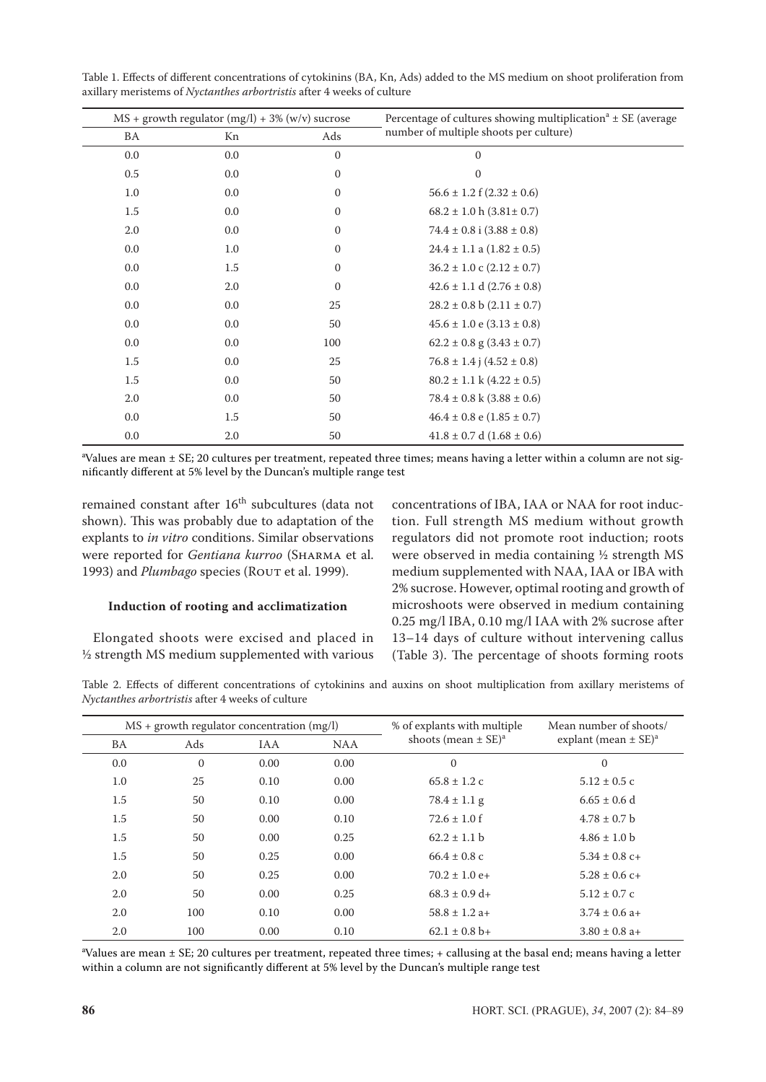| $MS +$ growth regulator (mg/l) + 3% (w/v) sucrose |     |              | Percentage of cultures showing multiplication <sup>a</sup> $\pm$ SE (average |  |
|---------------------------------------------------|-----|--------------|------------------------------------------------------------------------------|--|
| BA                                                | Kn  | Ads          | number of multiple shoots per culture)                                       |  |
| 0.0                                               | 0.0 | $\mathbf{0}$ | $\Omega$                                                                     |  |
| 0.5                                               | 0.0 | $\mathbf{0}$ | $\mathbf{0}$                                                                 |  |
| 1.0                                               | 0.0 | $\mathbf{0}$ | $56.6 \pm 1.2$ f (2.32 $\pm$ 0.6)                                            |  |
| 1.5                                               | 0.0 | $\Omega$     | $68.2 \pm 1.0$ h $(3.81 \pm 0.7)$                                            |  |
| 2.0                                               | 0.0 | $\mathbf{0}$ | $74.4 \pm 0.8$ i $(3.88 \pm 0.8)$                                            |  |
| 0.0                                               | 1.0 | $\mathbf{0}$ | $24.4 \pm 1.1$ a $(1.82 \pm 0.5)$                                            |  |
| 0.0                                               | 1.5 | $\mathbf{0}$ | $36.2 \pm 1.0 \text{ c} (2.12 \pm 0.7)$                                      |  |
| 0.0                                               | 2.0 | $\mathbf{0}$ | $42.6 \pm 1.1$ d (2.76 $\pm$ 0.8)                                            |  |
| 0.0                                               | 0.0 | 25           | $28.2 \pm 0.8$ b $(2.11 \pm 0.7)$                                            |  |
| 0.0                                               | 0.0 | 50           | $45.6 \pm 1.0$ e $(3.13 \pm 0.8)$                                            |  |
| 0.0                                               | 0.0 | 100          | $62.2 \pm 0.8$ g $(3.43 \pm 0.7)$                                            |  |
| 1.5                                               | 0.0 | 25           | $76.8 \pm 1.4$ j $(4.52 \pm 0.8)$                                            |  |
| 1.5                                               | 0.0 | 50           | $80.2 \pm 1.1 \text{ k} (4.22 \pm 0.5)$                                      |  |
| 2.0                                               | 0.0 | 50           | $78.4 \pm 0.8 \text{ k} (3.88 \pm 0.6)$                                      |  |
| 0.0                                               | 1.5 | 50           | $46.4 \pm 0.8$ e $(1.85 \pm 0.7)$                                            |  |
| $0.0\,$                                           | 2.0 | 50           | $41.8 \pm 0.7$ d $(1.68 \pm 0.6)$                                            |  |

Table 1. Effects of different concentrations of cytokinins (BA, Kn, Ads) added to the MS medium on shoot proliferation from axillary meristems of *Nyctanthes arbortristis* after 4 weeks of culture

a Values are mean ± SE; 20 cultures per treatment, repeated three times; means having a letter within a column are not significantly different at 5% level by the Duncan's multiple range test

remained constant after 16<sup>th</sup> subcultures (data not shown). This was probably due to adaptation of the explants to *in vitro* conditions. Similar observations were reported for *Gentiana kurroo* (Sharma et al. 1993) and *Plumbago* species (ROUT et al. 1999).

#### **Induction of rooting and acclimatization**

Elongated shoots were excised and placed in ½ strength MS medium supplemented with various

concentrations of IBA, IAA or NAA for root induction. Full strength MS medium without growth regulators did not promote root induction; roots were observed in media containing ½ strength MS medium supplemented with NAA, IAA or IBA with 2% sucrose. However, optimal rooting and growth of microshoots were observed in medium containing 0.25 mg/l IBA, 0.10 mg/l IAA with 2% sucrose after 13–14 days of culture without intervening callus (Table 3). The percentage of shoots forming roots

Table 2. Effects of different concentrations of cytokinins and auxins on shoot multiplication from axillary meristems of *Nyctanthes arbortristis* after 4 weeks of culture

| $MS +$ growth regulator concentration (mg/l) |          |            |            | % of explants with multiple         | Mean number of shoots/               |  |
|----------------------------------------------|----------|------------|------------|-------------------------------------|--------------------------------------|--|
| BA                                           | Ads      | <b>IAA</b> | <b>NAA</b> | shoots (mean $\pm$ SE) <sup>a</sup> | explant (mean $\pm$ SE) <sup>a</sup> |  |
| 0.0                                          | $\Omega$ | 0.00       | 0.00       | $\mathbf{0}$                        | $\Omega$                             |  |
| 1.0                                          | 25       | 0.10       | 0.00       | $65.8 \pm 1.2$ c                    | $5.12 \pm 0.5$ c                     |  |
| 1.5                                          | 50       | 0.10       | 0.00       | $78.4 \pm 1.1$ g                    | $6.65 \pm 0.6$ d                     |  |
| 1.5                                          | 50       | 0.00       | 0.10       | $72.6 \pm 1.0$ f                    | $4.78 \pm 0.7$ b                     |  |
| 1.5                                          | 50       | 0.00       | 0.25       | $62.2 \pm 1.1$ b                    | $4.86 \pm 1.0$ b                     |  |
| 1.5                                          | 50       | 0.25       | 0.00       | $66.4 \pm 0.8$ c                    | $5.34 \pm 0.8$ c+                    |  |
| 2.0                                          | 50       | 0.25       | 0.00       | $70.2 \pm 1.0$ e+                   | $5.28 \pm 0.6$ c+                    |  |
| 2.0                                          | 50       | 0.00       | 0.25       | $68.3 \pm 0.9$ d+                   | $5.12 \pm 0.7$ c                     |  |
| 2.0                                          | 100      | 0.10       | 0.00       | $58.8 \pm 1.2$ a+                   | $3.74 \pm 0.6$ a+                    |  |
| 2.0                                          | 100      | 0.00       | 0.10       | $62.1 \pm 0.8$ b+                   | $3.80 \pm 0.8$ a+                    |  |

a Values are mean ± SE; 20 cultures per treatment, repeated three times; + callusing at the basal end; means having a letter within a column are not significantly different at 5% level by the Duncan's multiple range test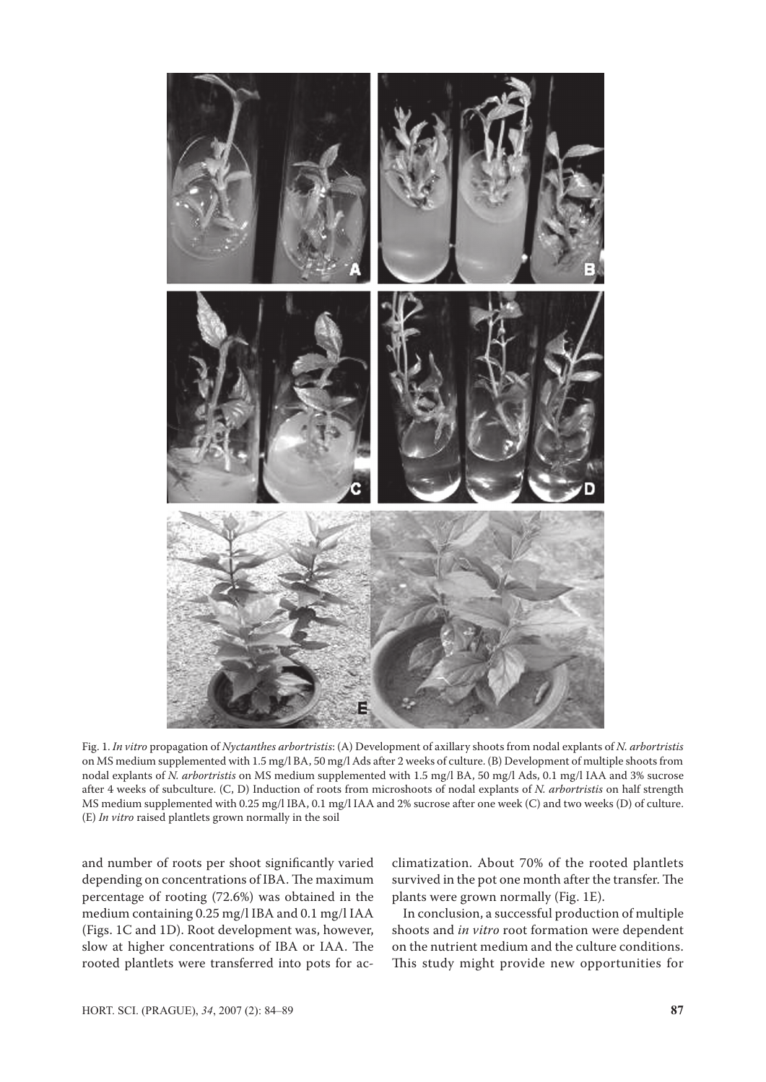

Fig. 1. *In vitro* propagation of *Nyctanthes arbortristis*: (A) Development of axillary shoots from nodal explants of *N. arbortristis* on MS medium supplemented with 1.5 mg/l BA, 50 mg/l Ads after 2 weeks of culture. (B) Development of multiple shoots from nodal explants of *N. arbortristis* on MS medium supplemented with 1.5 mg/l BA, 50 mg/l Ads, 0.1 mg/l IAA and 3% sucrose after 4 weeks of subculture. (C, D) Induction of roots from microshoots of nodal explants of *N. arbortristis* on half strength MS medium supplemented with 0.25 mg/l IBA, 0.1 mg/l IAA and 2% sucrose after one week (C) and two weeks (D) of culture. (E) *In vitro* raised plantlets grown normally in the soil

and number of roots per shoot significantly varied depending on concentrations of IBA. The maximum percentage of rooting (72.6%) was obtained in the medium containing 0.25 mg/l IBA and 0.1 mg/l IAA (Figs. 1C and 1D). Root development was, however, slow at higher concentrations of IBA or IAA. The rooted plantlets were transferred into pots for acclimatization. About 70% of the rooted plantlets survived in the pot one month after the transfer. The plants were grown normally (Fig. 1E).

In conclusion, a successful production of multiple shoots and *in vitro* root formation were dependent on the nutrient medium and the culture conditions. This study might provide new opportunities for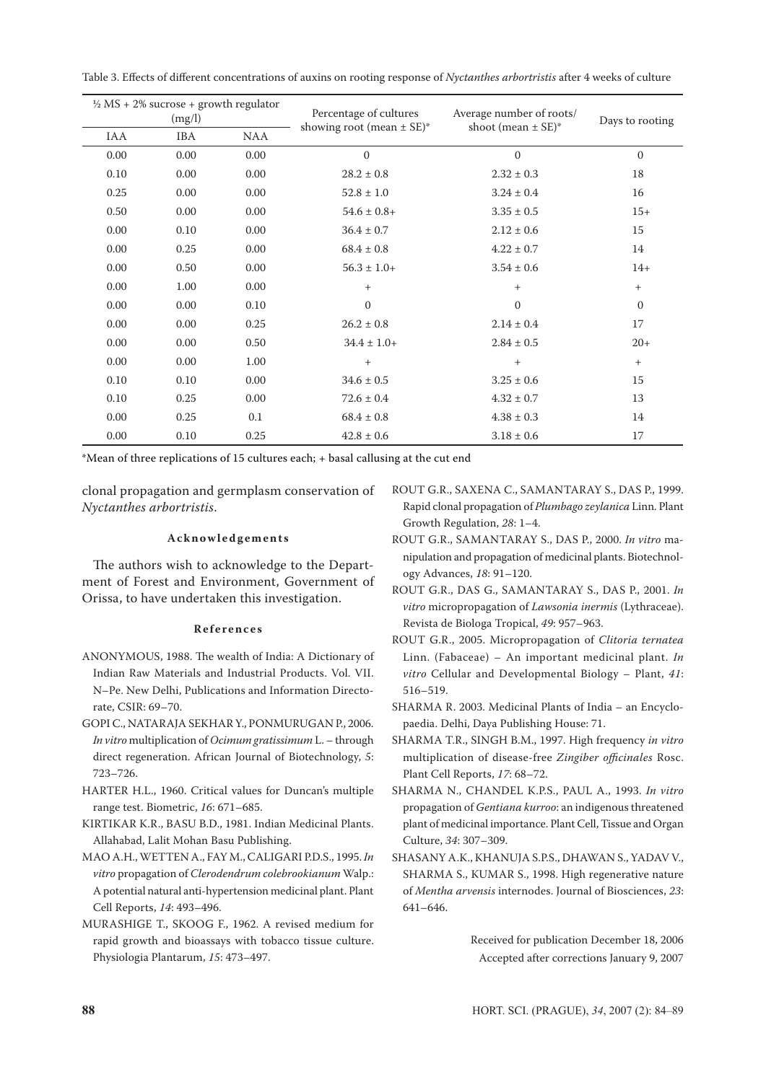Table 3. Effects of different concentrations of auxins on rooting response of *Nyctanthes arbortristis* after 4 weeks of culture

| $\frac{1}{2}$ MS + 2% sucrose + growth regulator<br>(mg/l) |            |            | Percentage of cultures<br>showing root (mean $\pm$ SE)* | Average number of roots/<br>shoot (mean $\pm$ SE)* | Days to rooting |
|------------------------------------------------------------|------------|------------|---------------------------------------------------------|----------------------------------------------------|-----------------|
| <b>IAA</b>                                                 | <b>IBA</b> | <b>NAA</b> |                                                         |                                                    |                 |
| 0.00                                                       | 0.00       | 0.00       | $\mathbf{0}$                                            | $\mathbf{0}$                                       | $\mathbf{0}$    |
| 0.10                                                       | 0.00       | 0.00       | $28.2 \pm 0.8$                                          | $2.32 \pm 0.3$                                     | 18              |
| 0.25                                                       | 0.00       | 0.00       | $52.8 \pm 1.0$                                          | $3.24 \pm 0.4$                                     | 16              |
| 0.50                                                       | 0.00       | 0.00       | $54.6 \pm 0.8 +$                                        | $3.35 \pm 0.5$                                     | $15+$           |
| 0.00                                                       | 0.10       | 0.00       | $36.4 \pm 0.7$                                          | $2.12 \pm 0.6$                                     | 15              |
| 0.00                                                       | 0.25       | 0.00       | $68.4 \pm 0.8$                                          | $4.22 \pm 0.7$                                     | 14              |
| 0.00                                                       | 0.50       | 0.00       | $56.3 \pm 1.0+$                                         | $3.54 \pm 0.6$                                     | $14+$           |
| 0.00                                                       | 1.00       | 0.00       | $^{+}$                                                  | $^{+}$                                             | $^{+}$          |
| 0.00                                                       | 0.00       | 0.10       | $\Omega$                                                | $\boldsymbol{0}$                                   | $\overline{0}$  |
| 0.00                                                       | 0.00       | 0.25       | $26.2 \pm 0.8$                                          | $2.14 \pm 0.4$                                     | 17              |
| 0.00                                                       | 0.00       | 0.50       | $34.4 \pm 1.0+$                                         | $2.84 \pm 0.5$                                     | $20+$           |
| 0.00                                                       | 0.00       | 1.00       | $^{+}$                                                  | $^{+}$                                             | $^{+}$          |
| 0.10                                                       | 0.10       | 0.00       | $34.6 \pm 0.5$                                          | $3.25 \pm 0.6$                                     | 15              |
| 0.10                                                       | 0.25       | 0.00       | $72.6 \pm 0.4$                                          | $4.32 \pm 0.7$                                     | 13              |
| 0.00                                                       | 0.25       | 0.1        | $68.4 \pm 0.8$                                          | $4.38 \pm 0.3$                                     | 14              |
| 0.00                                                       | 0.10       | 0.25       | $42.8 \pm 0.6$                                          | $3.18 \pm 0.6$                                     | 17              |

\*Mean of three replications of 15 cultures each; + basal callusing at the cut end

clonal propagation and germplasm conservation of *Nyctanthes arbortristis*.

#### **Ac k n o w l e d g e m e n t s**

The authors wish to acknowledge to the Department of Forest and Environment, Government of Orissa, to have undertaken this investigation.

#### **R e f e r e n c e s**

- ANONYMOUS, 1988. The wealth of India: A Dictionary of Indian Raw Materials and Industrial Products. Vol. VII. N–Pe. New Delhi, Publications and Information Directorate, CSIR: 69–70.
- GOPI C., NATARAJA SEKHAR Y., PONMURUGAN P., 2006. *In vitro* multiplication of *Ocimum gratissimum* L. – through direct regeneration. African Journal of Biotechnology, *5*: 723–726.
- HARTER H.L., 1960. Critical values for Duncan's multiple range test. Biometric, *16*: 671–685.
- KIRTIKAR K.R., BASU B.D., 1981. Indian Medicinal Plants. Allahabad, Lalit Mohan Basu Publishing.
- MAO A.H., WETTEN A., FAY M., CALIGARI P.D.S., 1995. *In vitro* propagation of *Clerodendrum colebrookianum* Walp.: A potential natural anti-hypertension medicinal plant. Plant Cell Reports, *14*: 493–496.
- MURASHIGE T., SKOOG F., 1962. A revised medium for rapid growth and bioassays with tobacco tissue culture. Physiologia Plantarum, *15*: 473–497.
- ROUT G.R., SAXENA C., SAMANTARAY S., DAS P., 1999. Rapid clonal propagation of *Plumbago zeylanica* Linn. Plant Growth Regulation, *28*: 1–4.
- ROUT G.R., SAMANTARAY S., DAS P., 2000. *In vitro* manipulation and propagation of medicinal plants. Biotechnology Advances, *18*: 91–120.
- ROUT G.R., DAS G., SAMANTARAY S., DAS P., 2001. *In vitro* micropropagation of *Lawsonia inermis* (Lythraceae). Revista de Biologa Tropical, *49*: 957–963.
- ROUT G.R., 2005. Micropropagation of *Clitoria ternatea* Linn. (Fabaceae) – An important medicinal plant. *In vitro* Cellular and Developmental Biology – Plant, *41*: 516–519.
- SHARMA R. 2003. Medicinal Plants of India an Encyclopaedia. Delhi, Daya Publishing House: 71.
- SHARMA T.R., SINGH B.M., 1997. High frequency *in vitro* multiplication of disease-free *Zingiber officinales* Rosc. Plant Cell Reports, *17*: 68–72.
- SHARMA N., CHANDEL K.P.S., PAUL A., 1993. *In vitro* propagation of *Gentiana kurroo*: an indigenous threatened plant of medicinal importance. Plant Cell, Tissue and Organ Culture, *34*: 307–309.
- SHASANY A.K., KHANUJA S.P.S., DHAWAN S., YADAV V., SHARMA S., KUMAR S., 1998. High regenerative nature of *Mentha arvensis* internodes. Journal of Biosciences, *23*: 641–646.

Received for publication December 18, 2006 Accepted after corrections January 9, 2007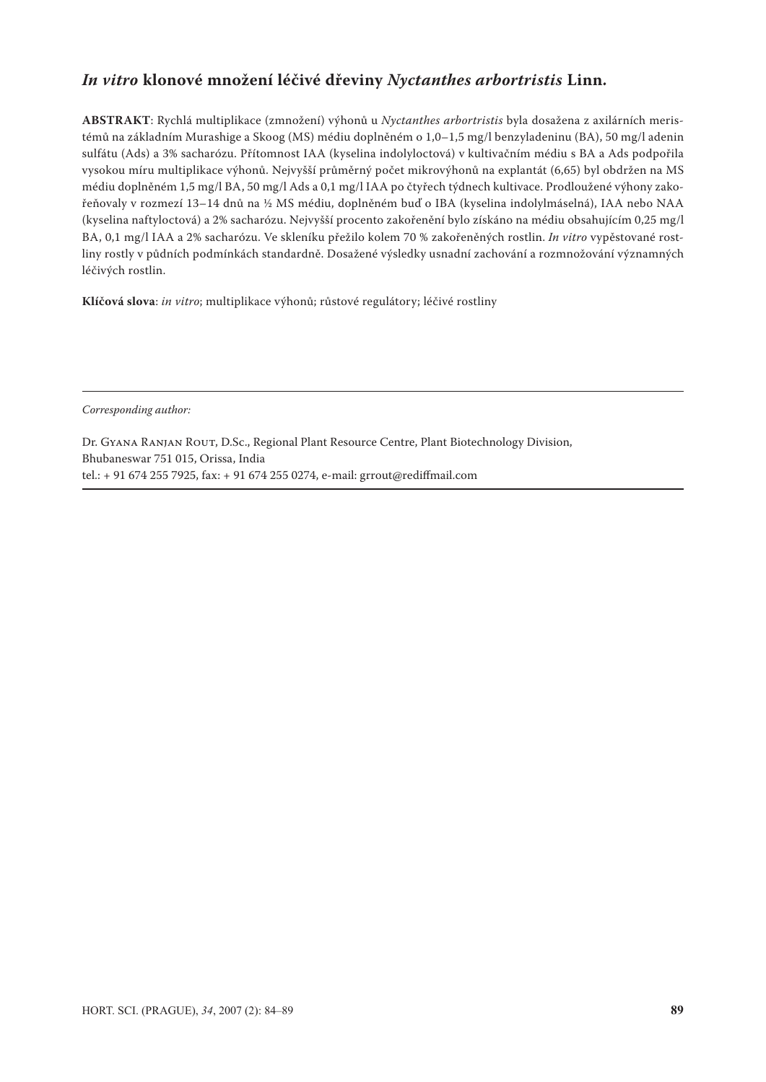## *In vitro* **klonové množení léčivé dřeviny** *Nyctanthes arbortristis* **Linn.**

**ABSTRAKT**: Rychlá multiplikace (zmnožení) výhonů u *Nyctanthes arbortristis* byla dosažena z axilárních meristémů na základním Murashige a Skoog (MS) médiu doplněném o 1,0–1,5 mg/l benzyladeninu (BA), 50 mg/l adenin sulfátu (Ads) a 3% sacharózu. Přítomnost IAA (kyselina indolyloctová) v kultivačním médiu s BA a Ads podpořila vysokou míru multiplikace výhonů. Nejvyšší průměrný počet mikrovýhonů na explantát (6,65) byl obdržen na MS médiu doplněném 1,5 mg/l BA, 50 mg/l Ads a 0,1 mg/l IAA po čtyřech týdnech kultivace. Prodloužené výhony zakořeňovaly v rozmezí 13–14 dnů na ½ MS médiu, doplněném buď o IBA (kyselina indolylmáselná), IAA nebo NAA (kyselina naftyloctová) a 2% sacharózu. Nejvyšší procento zakořenění bylo získáno na médiu obsahujícím 0,25 mg/l BA, 0,1 mg/l IAA a 2% sacharózu. Ve skleníku přežilo kolem 70 % zakořeněných rostlin. *In vitro* vypěstované rostliny rostly v půdních podmínkách standardně. Dosažené výsledky usnadní zachování a rozmnožování významných léčivých rostlin.

**Klíčová slova**: *in vitro*; multiplikace výhonů; růstové regulátory; léčivé rostliny

*Corresponding author:*

Dr. Gyana Ranjan Rout, D.Sc., Regional Plant Resource Centre, Plant Biotechnology Division, Bhubaneswar 751 015, Orissa, India tel.: + 91 674 255 7925, fax: + 91 674 255 0274, e-mail: grrout@rediffmail.com